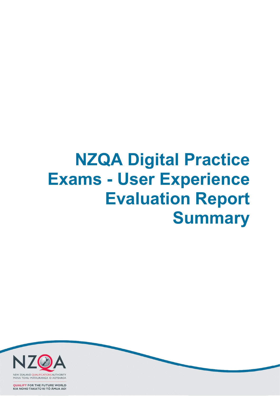## NZQA Digital Practice Exams - User Experience Evaluation Report **Summary**



**QUALIFY FOR THE FUTURE WORLD** KIA NOHO TAKATŪ KI TŌ ĀMUA AO!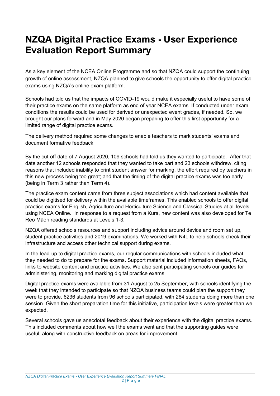## NZQA Digital Practice Exams - User Experience Evaluation Report Summary

As a key element of the NCEA Online Programme and so that NZQA could support the continuing growth of online assessment, NZQA planned to give schools the opportunity to offer digital practice exams using NZQA's online exam platform.

Schools had told us that the impacts of COVID-19 would make it especially useful to have some of their practice exams on the same platform as end of year NCEA exams. If conducted under exam conditions the results could be used for derived or unexpected event grades, if needed. So, we brought our plans forward and in May 2020 began preparing to offer this first opportunity for a limited range of digital practice exams.

The delivery method required some changes to enable teachers to mark students' exams and document formative feedback.

By the cut-off date of 7 August 2020, 109 schools had told us they wanted to participate. After that date another 12 schools responded that they wanted to take part and 23 schools withdrew, citing reasons that included inability to print student answer for marking, the effort required by teachers in this new process being too great; and that the timing of the digital practice exams was too early (being in Term 3 rather than Term 4).

The practice exam content came from three subject associations which had content available that could be digitised for delivery within the available timeframes. This enabled schools to offer digital practice exams for English, Agriculture and Horticulture Science and Classical Studies at all levels using NCEA Online. In response to a request from a Kura, new content was also developed for Te Reo Māori reading standards at Levels 1-3.

NZQA offered schools resources and support including advice around device and room set up, student practice activities and 2019 examinations. We worked with N4L to help schools check their infrastructure and access other technical support during exams.

In the lead-up to digital practice exams, our regular communications with schools included what they needed to do to prepare for the exams. Support material included information sheets, FAQs, links to website content and practice activities. We also sent participating schools our guides for administering, monitoring and marking digital practice exams.

Digital practice exams were available from 31 August to 25 September, with schools identifying the week that they intended to participate so that NZQA business teams could plan the support they were to provide. 6236 students from 96 schools participated, with 264 students doing more than one session. Given the short preparation time for this initiative, participation levels were greater than we expected.

Several schools gave us anecdotal feedback about their experience with the digital practice exams. This included comments about how well the exams went and that the supporting guides were useful, along with constructive feedback on areas for improvement.